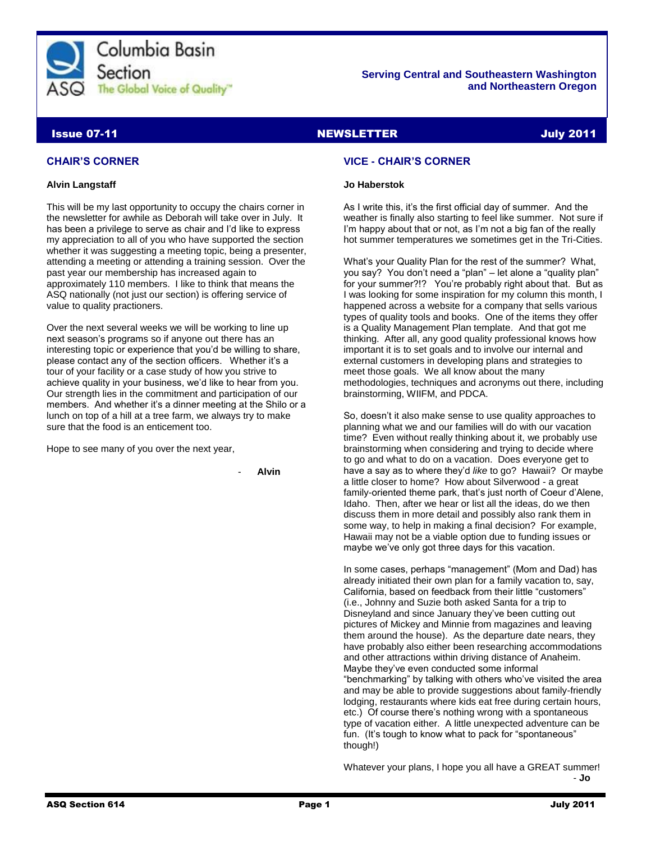

## **Serving Central and Southeastern Washington and Northeastern Oregon**

# **Issue 07-11 NEWSLETTER And Discussion Control** Control of the United States of the United States of the United S

# **CHAIR'S CORNER**

## **Alvin Langstaff**

This will be my last opportunity to occupy the chairs corner in the newsletter for awhile as Deborah will take over in July. It has been a privilege to serve as chair and I'd like to express my appreciation to all of you who have supported the section whether it was suggesting a meeting topic, being a presenter, attending a meeting or attending a training session. Over the past year our membership has increased again to approximately 110 members. I like to think that means the ASQ nationally (not just our section) is offering service of value to quality practioners.

Over the next several weeks we will be working to line up next season's programs so if anyone out there has an interesting topic or experience that you'd be willing to share, please contact any of the section officers. Whether it's a tour of your facility or a case study of how you strive to achieve quality in your business, we'd like to hear from you. Our strength lies in the commitment and participation of our members. And whether it's a dinner meeting at the Shilo or a lunch on top of a hill at a tree farm, we always try to make sure that the food is an enticement too.

Hope to see many of you over the next year,

- **Alvin**

## **VICE - CHAIR'S CORNER**

## **Jo Haberstok**

As I write this, it's the first official day of summer. And the weather is finally also starting to feel like summer. Not sure if I'm happy about that or not, as I'm not a big fan of the really hot summer temperatures we sometimes get in the Tri-Cities.

What's your Quality Plan for the rest of the summer? What, you say? You don't need a "plan" – let alone a "quality plan" for your summer?!? You're probably right about that. But as I was looking for some inspiration for my column this month, I happened across a website for a company that sells various types of quality tools and books. One of the items they offer is a Quality Management Plan template. And that got me thinking. After all, any good quality professional knows how important it is to set goals and to involve our internal and external customers in developing plans and strategies to meet those goals. We all know about the many methodologies, techniques and acronyms out there, including brainstorming, WIIFM, and PDCA.

So, doesn't it also make sense to use quality approaches to planning what we and our families will do with our vacation time? Even without really thinking about it, we probably use brainstorming when considering and trying to decide where to go and what to do on a vacation. Does everyone get to have a say as to where they'd *like* to go? Hawaii? Or maybe a little closer to home? How about Silverwood - a great family-oriented theme park, that's just north of Coeur d'Alene, Idaho. Then, after we hear or list all the ideas, do we then discuss them in more detail and possibly also rank them in some way, to help in making a final decision? For example, Hawaii may not be a viable option due to funding issues or maybe we've only got three days for this vacation.

In some cases, perhaps "management" (Mom and Dad) has already initiated their own plan for a family vacation to, say, California, based on feedback from their little "customers" (i.e., Johnny and Suzie both asked Santa for a trip to Disneyland and since January they've been cutting out pictures of Mickey and Minnie from magazines and leaving them around the house). As the departure date nears, they have probably also either been researching accommodations and other attractions within driving distance of Anaheim. Maybe they've even conducted some informal "benchmarking" by talking with others who've visited the area and may be able to provide suggestions about family-friendly lodging, restaurants where kids eat free during certain hours, etc.) Of course there's nothing wrong with a spontaneous type of vacation either. A little unexpected adventure can be fun. (It's tough to know what to pack for "spontaneous" though!)

Whatever your plans, I hope you all have a GREAT summer! - **Jo**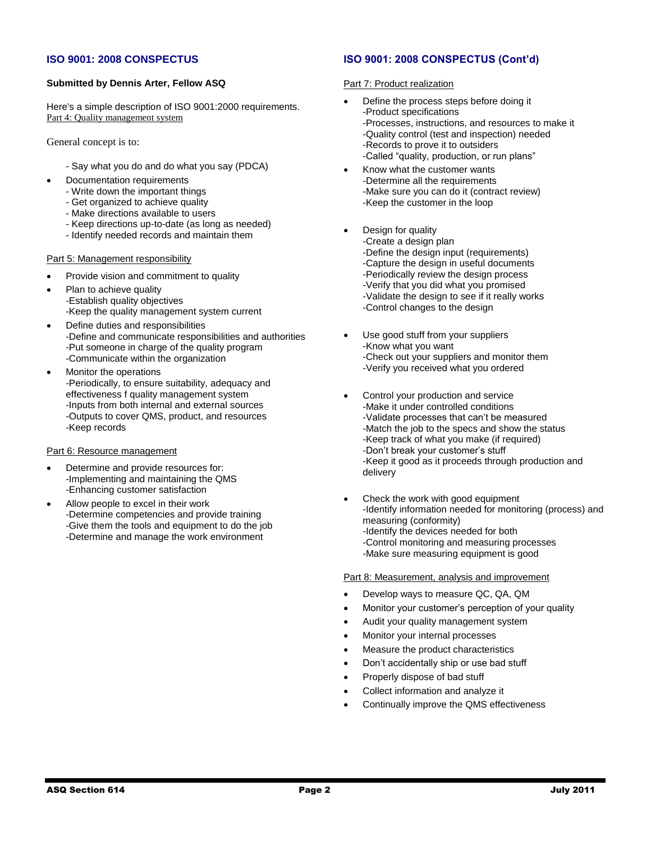## **ISO 9001: 2008 CONSPECTUS**

## **Submitted by Dennis Arter, Fellow ASQ**

Here's a simple description of ISO 9001:2000 requirements. Part 4: Quality management system

General concept is to:

- Say what you do and do what you say (PDCA)
- Documentation requirements
	- Write down the important things
	- Get organized to achieve quality
	- Make directions available to users
	- Keep directions up-to-date (as long as needed)
	- Identify needed records and maintain them

## Part 5: Management responsibility

- Provide vision and commitment to quality
- Plan to achieve quality -Establish quality objectives -Keep the quality management system current
- Define duties and responsibilities -Define and communicate responsibilities and authorities -Put someone in charge of the quality program -Communicate within the organization
- Monitor the operations -Periodically, to ensure suitability, adequacy and effectiveness f quality management system -Inputs from both internal and external sources -Outputs to cover QMS, product, and resources -Keep records

#### Part 6: Resource management

- Determine and provide resources for: -Implementing and maintaining the QMS -Enhancing customer satisfaction
- Allow people to excel in their work -Determine competencies and provide training -Give them the tools and equipment to do the job -Determine and manage the work environment

## **ISO 9001: 2008 CONSPECTUS (Cont'd)**

## Part 7: Product realization

- Define the process steps before doing it -Product specifications -Processes, instructions, and resources to make it -Quality control (test and inspection) needed -Records to prove it to outsiders -Called "quality, production, or run plans"
- Know what the customer wants -Determine all the requirements -Make sure you can do it (contract review) -Keep the customer in the loop
- Design for quality
	- -Create a design plan
	- -Define the design input (requirements)
	- -Capture the design in useful documents
	- -Periodically review the design process
	- -Verify that you did what you promised
	- -Validate the design to see if it really works
	- -Control changes to the design
	- Use good stuff from your suppliers -Know what you want -Check out your suppliers and monitor them -Verify you received what you ordered
- Control your production and service -Make it under controlled conditions -Validate processes that can't be measured -Match the job to the specs and show the status -Keep track of what you make (if required) -Don't break your customer's stuff -Keep it good as it proceeds through production and delivery
- Check the work with good equipment -Identify information needed for monitoring (process) and measuring (conformity) -Identify the devices needed for both -Control monitoring and measuring processes -Make sure measuring equipment is good

## Part 8: Measurement, analysis and improvement

- Develop ways to measure QC, QA, QM
- Monitor your customer's perception of your quality
- Audit your quality management system
- Monitor your internal processes
- Measure the product characteristics
- Don't accidentally ship or use bad stuff
- Properly dispose of bad stuff
- Collect information and analyze it
- Continually improve the QMS effectiveness